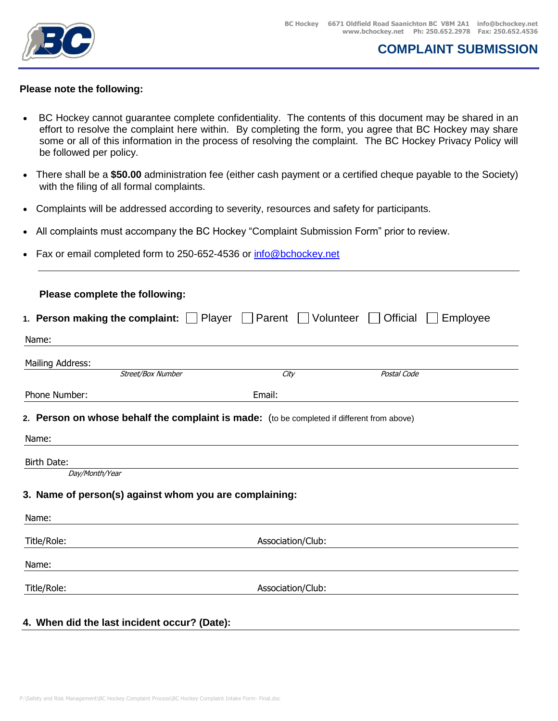

### **Please note the following:**

- BC Hockey cannot guarantee complete confidentiality. The contents of this document may be shared in an effort to resolve the complaint here within. By completing the form, you agree that BC Hockey may share some or all of this information in the process of resolving the complaint. The BC Hockey Privacy Policy will be followed per policy.
- There shall be a **\$50.00** administration fee (either cash payment or a certified cheque payable to the Society) with the filing of all formal complaints.
- Complaints will be addressed according to severity, resources and safety for participants.
- All complaints must accompany the BC Hockey "Complaint Submission Form" prior to review.
- Fax or email completed form to 250-652-4536 or [info@bchockey.net](mailto:info@bchockey.net)

| 1. Person making the complaint: $\Box$ Player $\Box$ Parent $\Box$ Volunteer<br>Official<br>Employee<br>$\mathbf{1}$ |                                                        |                   |                                                                                            |  |  |  |  |  |  |
|----------------------------------------------------------------------------------------------------------------------|--------------------------------------------------------|-------------------|--------------------------------------------------------------------------------------------|--|--|--|--|--|--|
|                                                                                                                      |                                                        |                   |                                                                                            |  |  |  |  |  |  |
| Mailing Address:                                                                                                     |                                                        |                   |                                                                                            |  |  |  |  |  |  |
|                                                                                                                      | Street/Box Number                                      | City              | Postal Code                                                                                |  |  |  |  |  |  |
| Phone Number:                                                                                                        |                                                        | Email:            |                                                                                            |  |  |  |  |  |  |
|                                                                                                                      |                                                        |                   | 2. Person on whose behalf the complaint is made: (to be completed if different from above) |  |  |  |  |  |  |
| Day/Month/Year                                                                                                       | 3. Name of person(s) against whom you are complaining: |                   |                                                                                            |  |  |  |  |  |  |
|                                                                                                                      |                                                        | Association/Club: |                                                                                            |  |  |  |  |  |  |
| Name:<br>Birth Date:<br>Name:<br>Title/Role:<br>Name:                                                                |                                                        |                   |                                                                                            |  |  |  |  |  |  |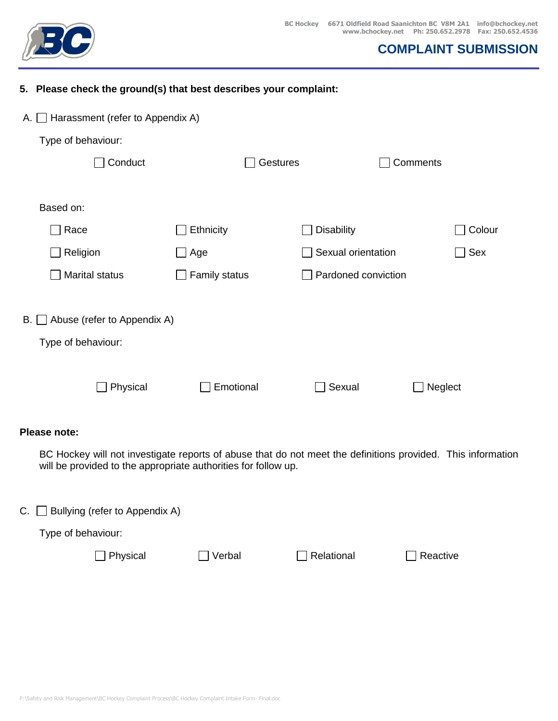

|                                   | 5. Please check the ground(s) that best describes your complaint: |               |  |                     |         |          |  |  |  |  |  |  |
|-----------------------------------|-------------------------------------------------------------------|---------------|--|---------------------|---------|----------|--|--|--|--|--|--|
|                                   | Harassment (refer to Appendix A)<br>$A. \Box$                     |               |  |                     |         |          |  |  |  |  |  |  |
|                                   | Type of behaviour:                                                |               |  |                     |         |          |  |  |  |  |  |  |
|                                   | Conduct                                                           |               |  | Gestures            |         | Comments |  |  |  |  |  |  |
|                                   |                                                                   |               |  |                     |         |          |  |  |  |  |  |  |
|                                   | Based on:                                                         |               |  |                     |         |          |  |  |  |  |  |  |
|                                   | Race                                                              | Ethnicity     |  | <b>Disability</b>   |         | Colour   |  |  |  |  |  |  |
|                                   | Religion                                                          | Age           |  | Sexual orientation  |         | Sex      |  |  |  |  |  |  |
|                                   | Marital status                                                    | Family status |  | Pardoned conviction |         |          |  |  |  |  |  |  |
|                                   |                                                                   |               |  |                     |         |          |  |  |  |  |  |  |
| Abuse (refer to Appendix A)<br>B. |                                                                   |               |  |                     |         |          |  |  |  |  |  |  |
|                                   | Type of behaviour:                                                |               |  |                     |         |          |  |  |  |  |  |  |
|                                   |                                                                   |               |  |                     |         |          |  |  |  |  |  |  |
|                                   | Physical                                                          | Emotional     |  | Sexual              | Neglect |          |  |  |  |  |  |  |
|                                   |                                                                   |               |  |                     |         |          |  |  |  |  |  |  |

### **Please note:**

BC Hockey will not investigate reports of abuse that do not meet the definitions provided. This information will be provided to the appropriate authorities for follow up.

C.  $\Box$  Bullying (refer to Appendix A)

Type of behaviour:

□ Physical DVerbal BRelational BReactive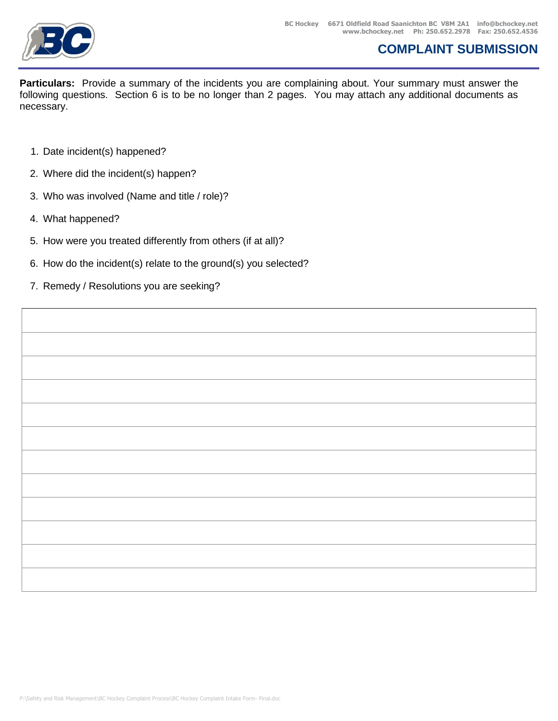

**Particulars:** Provide a summary of the incidents you are complaining about. Your summary must answer the following questions. Section 6 is to be no longer than 2 pages. You may attach any additional documents as necessary.

- 1. Date incident(s) happened?
- 2. Where did the incident(s) happen?
- 3. Who was involved (Name and title / role)?
- 4. What happened?
- 5. How were you treated differently from others (if at all)?
- 6. How do the incident(s) relate to the ground(s) you selected?
- 7. Remedy / Resolutions you are seeking?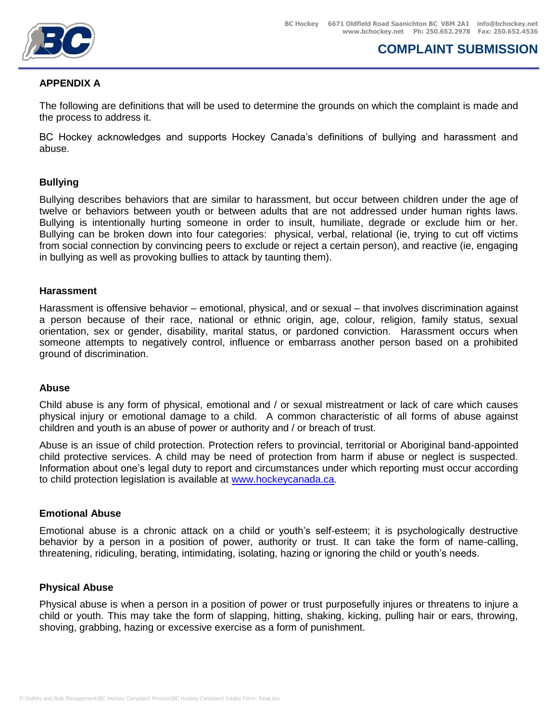

### **APPENDIX A**

The following are definitions that will be used to determine the grounds on which the complaint is made and the process to address it.

BC Hockey acknowledges and supports Hockey Canada's definitions of bullying and harassment and abuse.

### **Bullying**

Bullying describes behaviors that are similar to harassment, but occur between children under the age of twelve or behaviors between youth or between adults that are not addressed under human rights laws. Bullying is intentionally hurting someone in order to insult, humiliate, degrade or exclude him or her. Bullying can be broken down into four categories: physical, verbal, relational (ie, trying to cut off victims from social connection by convincing peers to exclude or reject a certain person), and reactive (ie, engaging in bullying as well as provoking bullies to attack by taunting them).

#### **Harassment**

Harassment is offensive behavior – emotional, physical, and or sexual – that involves discrimination against a person because of their race, national or ethnic origin, age, colour, religion, family status, sexual orientation, sex or gender, disability, marital status, or pardoned conviction. Harassment occurs when someone attempts to negatively control, influence or embarrass another person based on a prohibited ground of discrimination.

#### **Abuse**

Child abuse is any form of physical, emotional and / or sexual mistreatment or lack of care which causes physical injury or emotional damage to a child. A common characteristic of all forms of abuse against children and youth is an abuse of power or authority and / or breach of trust.

Abuse is an issue of child protection. Protection refers to provincial, territorial or Aboriginal band-appointed child protective services. A child may be need of protection from harm if abuse or neglect is suspected. Information about one's legal duty to report and circumstances under which reporting must occur according to child protection legislation is available at [www.hockeycanada.ca.](http://www.hockeycanada.ca/)

#### **Emotional Abuse**

Emotional abuse is a chronic attack on a child or youth's self-esteem; it is psychologically destructive behavior by a person in a position of power, authority or trust. It can take the form of name-calling, threatening, ridiculing, berating, intimidating, isolating, hazing or ignoring the child or youth's needs.

#### **Physical Abuse**

Physical abuse is when a person in a position of power or trust purposefully injures or threatens to injure a child or youth. This may take the form of slapping, hitting, shaking, kicking, pulling hair or ears, throwing, shoving, grabbing, hazing or excessive exercise as a form of punishment.